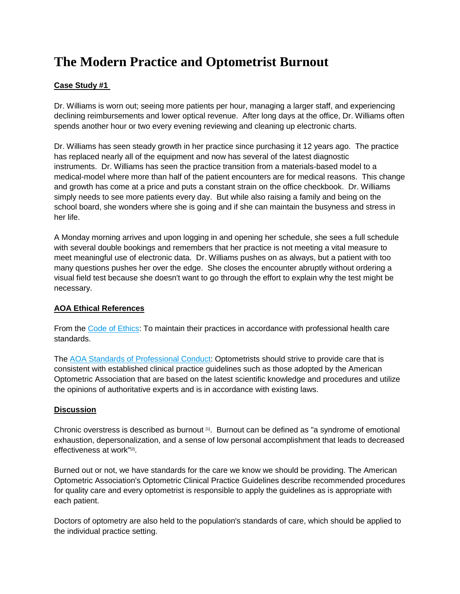# **The Modern Practice and Optometrist Burnout**

### **Case Study #1**

Dr. Williams is worn out; seeing more patients per hour, managing a larger staff, and experiencing declining reimbursements and lower optical revenue. After long days at the office, Dr. Williams often spends another hour or two every evening reviewing and cleaning up electronic charts.

Dr. Williams has seen steady growth in her practice since purchasing it 12 years ago. The practice has replaced nearly all of the equipment and now has several of the latest diagnostic instruments. Dr. Williams has seen the practice transition from a materials-based model to a medical-model where more than half of the patient encounters are for medical reasons. This change and growth has come at a price and puts a constant strain on the office checkbook. Dr. Williams simply needs to see more patients every day. But while also raising a family and being on the school board, she wonders where she is going and if she can maintain the busyness and stress in her life.

A Monday morning arrives and upon logging in and opening her schedule, she sees a full schedule with several double bookings and remembers that her practice is not meeting a vital measure to meet meaningful use of electronic data. Dr. Williams pushes on as always, but a patient with too many questions pushes her over the edge. She closes the encounter abruptly without ordering a visual field test because she doesn't want to go through the effort to explain why the test might be necessary.

### **AOA Ethical References**

From the [Code of Ethics:](http://www.aoa.org/about-the-aoa/ethics-and-values/code-of-ethics) To maintain their practices in accordance with professional health care standards.

The [AOA Standards of Professional Conduct:](http://www.aoa.org/documents/about/Standards-of-Professional-Conduct_Adopted-June-2011.pdf) Optometrists should strive to provide care that is consistent with established clinical practice guidelines such as those adopted by the American Optometric Association that are based on the latest scientific knowledge and procedures and utilize the opinions of authoritative experts and is in accordance with existing laws.

#### **Discussion**

Chronic overstress is described as burnout  $[1]$ . Burnout can be defined as "a syndrome of emotional exhaustion, depersonalization, and a sense of low personal accomplishment that leads to decreased effectiveness at work"[2] .

Burned out or not, we have standards for the care we know we should be providing. The American Optometric Association's Optometric Clinical Practice Guidelines describe recommended procedures for quality care and every optometrist is responsible to apply the guidelines as is appropriate with each patient.

Doctors of optometry are also held to the population's standards of care, which should be applied to the individual practice setting.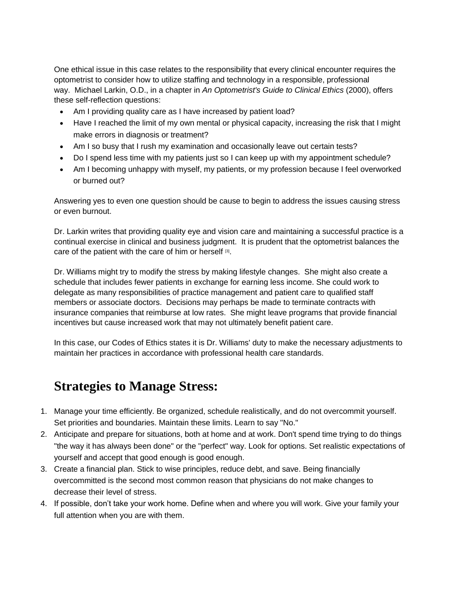One ethical issue in this case relates to the responsibility that every clinical encounter requires the optometrist to consider how to utilize staffing and technology in a responsible, professional way. Michael Larkin, O.D., in a chapter in *An Optometrist's Guide to Clinical Ethics* (2000), offers these self-reflection questions:

- Am I providing quality care as I have increased by patient load?
- Have I reached the limit of my own mental or physical capacity, increasing the risk that I might make errors in diagnosis or treatment?
- Am I so busy that I rush my examination and occasionally leave out certain tests?
- Do I spend less time with my patients just so I can keep up with my appointment schedule?
- Am I becoming unhappy with myself, my patients, or my profession because I feel overworked or burned out?

Answering yes to even one question should be cause to begin to address the issues causing stress or even burnout.

Dr. Larkin writes that providing quality eye and vision care and maintaining a successful practice is a continual exercise in clinical and business judgment. It is prudent that the optometrist balances the care of the patient with the care of him or herself [3].

Dr. Williams might try to modify the stress by making lifestyle changes. She might also create a schedule that includes fewer patients in exchange for earning less income. She could work to delegate as many responsibilities of practice management and patient care to qualified staff members or associate doctors. Decisions may perhaps be made to terminate contracts with insurance companies that reimburse at low rates. She might leave programs that provide financial incentives but cause increased work that may not ultimately benefit patient care.

In this case, our Codes of Ethics states it is Dr. Williams' duty to make the necessary adjustments to maintain her practices in accordance with professional health care standards.

## **Strategies to Manage Stress:**

- 1. Manage your time efficiently. Be organized, schedule realistically, and do not overcommit yourself. Set priorities and boundaries. Maintain these limits. Learn to say "No."
- 2. Anticipate and prepare for situations, both at home and at work. Don't spend time trying to do things "the way it has always been done" or the "perfect" way. Look for options. Set realistic expectations of yourself and accept that good enough is good enough.
- 3. Create a financial plan. Stick to wise principles, reduce debt, and save. Being financially overcommitted is the second most common reason that physicians do not make changes to decrease their level of stress.
- 4. If possible, don't take your work home. Define when and where you will work. Give your family your full attention when you are with them.